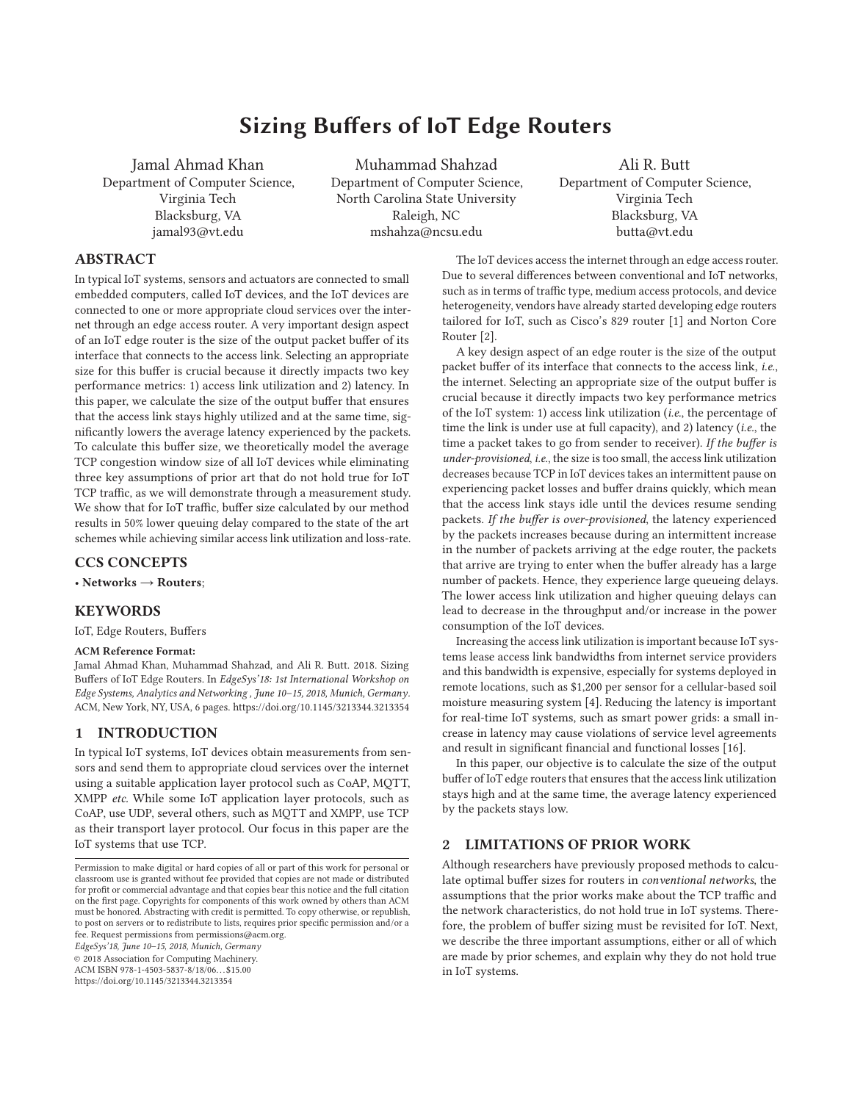# **Sizing Buffers of IoT Edge Routers**

Jamal Ahmad Khan Department of Computer Science, Virginia Tech Blacksburg, VA jamal93@vt.edu

Muhammad Shahzad Department of Computer Science, North Carolina State University Raleigh, NC mshahza@ncsu.edu

Ali R. Butt Department of Computer Science, Virginia Tech Blacksburg, VA butta@vt.edu

## **ABSTRACT**

In typical IoT systems, sensors and actuators are connected to small embedded computers, called IoT devices, and the IoT devices are connected to one or more appropriate cloud services over the internet through an edge access router. A very important design aspect of an IoT edge router is the size of the output packet buffer of its interface that connects to the access link. Selecting an appropriate size for this buffer is crucial because it directly impacts two key performance metrics: 1) access link utilization and 2) latency. In this paper, we calculate the size of the output buffer that ensures that the access link stays highly utilized and at the same time, significantly lowers the average latency experienced by the packets. To calculate this buffer size, we theoretically model the average TCP congestion window size of all IoT devices while eliminating three key assumptions of prior art that do not hold true for IoT TCP traffic, as we will demonstrate through a measurement study. We show that for IoT traffic, buffer size calculated by our method results in 50% lower queuing delay compared to the state of the art schemes while achieving similar access link utilization and loss-rate.

#### **CCS CONCEPTS**

• **Networks** → **Routers**;

### **KEYWORDS**

IoT, Edge Routers, Buffers

#### **ACM Reference Format:**

Jamal Ahmad Khan, Muhammad Shahzad, and Ali R. Butt. 2018. Sizing Buffers of IoT Edge Routers. In *EdgeSys'18: 1st International Workshop on Edge Systems, Analytics and Networking , June 10–15, 2018, Munich, Germany.* ACM, New York, NY, USA, 6 pages. https://doi.org/10.1145/3213344.3213354

## **1 INTRODUCTION**

In typical IoT systems, IoT devices obtain measurements from sensors and send them to appropriate cloud services over the internet using a suitable application layer protocol such as CoAP, MQTT, XMPP *etc.* While some IoT application layer protocols, such as CoAP, use UDP, several others, such as MQTT and XMPP, use TCP as their transport layer protocol. Our focus in this paper are the IoT systems that use TCP.

*EdgeSys'18, June 10–15, 2018, Munich, Germany*

© 2018 Association for Computing Machinery.

ACM ISBN 978-1-4503-5837-8/18/06. . . \$15.00 https://doi.org/10.1145/3213344.3213354

The IoT devices access the internet through an edge access router. Due to several differences between conventional and IoT networks, such as in terms of traffic type, medium access protocols, and device heterogeneity, vendors have already started developing edge routers tailored for IoT, such as Cisco's 829 router [1] and Norton Core Router [2].

A key design aspect of an edge router is the size of the output packet buffer of its interface that connects to the access link, *i.e.*, the internet. Selecting an appropriate size of the output buffer is crucial because it directly impacts two key performance metrics of the IoT system: 1) access link utilization (*i.e.*, the percentage of time the link is under use at full capacity), and 2) latency (*i.e.*, the time a packet takes to go from sender to receiver). *If the buffer is under-provisioned*, *i.e.*, the size is too small, the access link utilization decreases because TCP in IoT devices takes an intermittent pause on experiencing packet losses and buffer drains quickly, which mean that the access link stays idle until the devices resume sending packets. *If the buffer is over-provisioned*, the latency experienced by the packets increases because during an intermittent increase in the number of packets arriving at the edge router, the packets that arrive are trying to enter when the buffer already has a large number of packets. Hence, they experience large queueing delays. The lower access link utilization and higher queuing delays can lead to decrease in the throughput and/or increase in the power consumption of the IoT devices.

Increasing the access link utilization is important because IoT systems lease access link bandwidths from internet service providers and this bandwidth is expensive, especially for systems deployed in remote locations, such as \$1,200 per sensor for a cellular-based soil moisture measuring system [4]. Reducing the latency is important for real-time IoT systems, such as smart power grids: a small increase in latency may cause violations of service level agreements and result in significant financial and functional losses [16].

In this paper, our objective is to calculate the size of the output buffer of IoT edge routers that ensures that the access link utilization stays high and at the same time, the average latency experienced by the packets stays low.

#### **2 LIMITATIONS OF PRIOR WORK**

Although researchers have previously proposed methods to calculate optimal buffer sizes for routers in *conventional networks*, the assumptions that the prior works make about the TCP traffic and the network characteristics, do not hold true in IoT systems. Therefore, the problem of buffer sizing must be revisited for IoT. Next, we describe the three important assumptions, either or all of which are made by prior schemes, and explain why they do not hold true in IoT systems.

Permission to make digital or hard copies of all or part of this work for personal or classroom use is granted without fee provided that copies are not made or distributed for profit or commercial advantage and that copies bear this notice and the full citation on the first page. Copyrights for components of this work owned by others than ACM must be honored. Abstracting with credit is permitted. To copy otherwise, or republish, to post on servers or to redistribute to lists, requires prior specific permission and/or a fee. Request permissions from permissions@acm.org.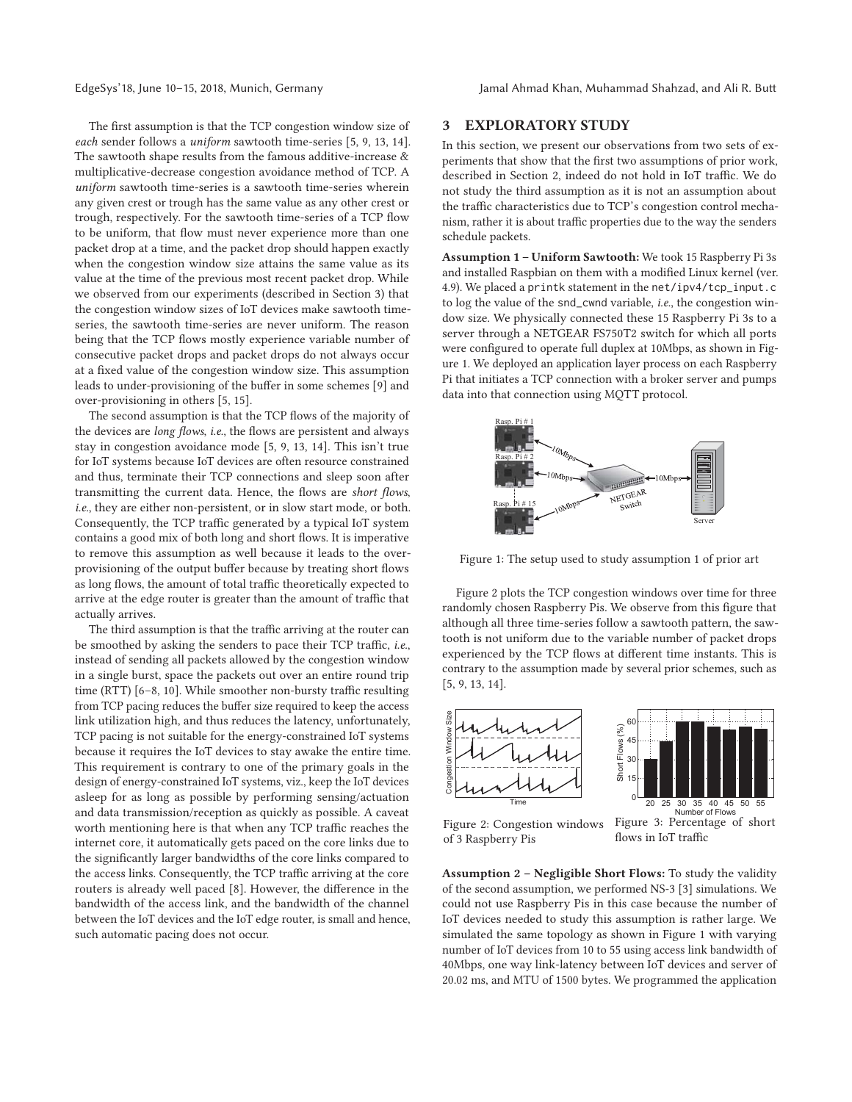EdgeSys'18, June 10–15, 2018, Munich, Germany Jamal Ahmad Khan, Muhammad Shahzad, and Ali R. Butt

The first assumption is that the TCP congestion window size of *each* sender follows a *uniform* sawtooth time-series [5, 9, 13, 14]. The sawtooth shape results from the famous additive-increase  $\&$ multiplicative-decrease congestion avoidance method of TCP. A *uniform* sawtooth time-series is a sawtooth time-series wherein any given crest or trough has the same value as any other crest or trough, respectively. For the sawtooth time-series of a TCP flow to be uniform, that flow must never experience more than one packet drop at a time, and the packet drop should happen exactly when the congestion window size attains the same value as its value at the time of the previous most recent packet drop. While we observed from our experiments (described in Section 3) that the congestion window sizes of IoT devices make sawtooth timeseries, the sawtooth time-series are never uniform. The reason being that the TCP flows mostly experience variable number of consecutive packet drops and packet drops do not always occur at a fixed value of the congestion window size. This assumption leads to under-provisioning of the buffer in some schemes [9] and over-provisioning in others [5, 15].

The second assumption is that the TCP flows of the majority of the devices are *long flows*, *i.e.*, the flows are persistent and always stay in congestion avoidance mode [5, 9, 13, 14]. This isn't true for IoT systems because IoT devices are often resource constrained and thus, terminate their TCP connections and sleep soon after transmitting the current data. Hence, the flows are *short flows*, *i.e.*, they are either non-persistent, or in slow start mode, or both. Consequently, the TCP traffic generated by a typical IoT system contains a good mix of both long and short flows. It is imperative to remove this assumption as well because it leads to the overprovisioning of the output buffer because by treating short flows as long flows, the amount of total traffic theoretically expected to arrive at the edge router is greater than the amount of traffic that actually arrives.

The third assumption is that the traffic arriving at the router can be smoothed by asking the senders to pace their TCP traffic, *i.e.*, instead of sending all packets allowed by the congestion window in a single burst, space the packets out over an entire round trip time (RTT) [6–8, 10]. While smoother non-bursty traffic resulting from TCP pacing reduces the buffer size required to keep the access link utilization high, and thus reduces the latency, unfortunately, TCP pacing is not suitable for the energy-constrained IoT systems because it requires the IoT devices to stay awake the entire time. This requirement is contrary to one of the primary goals in the design of energy-constrained IoT systems, viz., keep the IoT devices asleep for as long as possible by performing sensing/actuation and data transmission/reception as quickly as possible. A caveat worth mentioning here is that when any TCP traffic reaches the internet core, it automatically gets paced on the core links due to the significantly larger bandwidths of the core links compared to the access links. Consequently, the TCP traffic arriving at the core routers is already well paced [8]. However, the difference in the bandwidth of the access link, and the bandwidth of the channel between the IoT devices and the IoT edge router, is small and hence, such automatic pacing does not occur.

#### **3 EXPLORATORY STUDY**

In this section, we present our observations from two sets of experiments that show that the first two assumptions of prior work, described in Section 2, indeed do not hold in IoT traffic. We do not study the third assumption as it is not an assumption about the traffic characteristics due to TCP's congestion control mechanism, rather it is about traffic properties due to the way the senders schedule packets.

**Assumption 1 – Uniform Sawtooth:** We took 15 Raspberry Pi 3s and installed Raspbian on them with a modified Linux kernel (ver. 4.9). We placed a printk statement in the net/ipv4/tcp\_input.c to log the value of the snd\_cwnd variable, *i.e.*, the congestion window size. We physically connected these 15 Raspberry Pi 3s to a server through a NETGEAR FS750T2 switch for which all ports were configured to operate full duplex at 10Mbps, as shown in Figure 1. We deployed an application layer process on each Raspberry Pi that initiates a TCP connection with a broker server and pumps data into that connection using MQTT protocol.



Figure 1: The setup used to study assumption 1 of prior art

Figure 2 plots the TCP congestion windows over time for three randomly chosen Raspberry Pis. We observe from this figure that although all three time-series follow a sawtooth pattern, the sawtooth is not uniform due to the variable number of packet drops experienced by the TCP flows at different time instants. This is contrary to the assumption made by several prior schemes, such as [5, 9, 13, 14].



Figure 2: Congestion windows of 3 Raspberry Pis

Figure 3: Percentage of short flows in IoT traffic

**Assumption 2 – Negligible Short Flows:** To study the validity of the second assumption, we performed NS-3 [3] simulations. We could not use Raspberry Pis in this case because the number of IoT devices needed to study this assumption is rather large. We simulated the same topology as shown in Figure 1 with varying number of IoT devices from 10 to 55 using access link bandwidth of 40Mbps, one way link-latency between IoT devices and server of 20.02 ms, and MTU of 1500 bytes. We programmed the application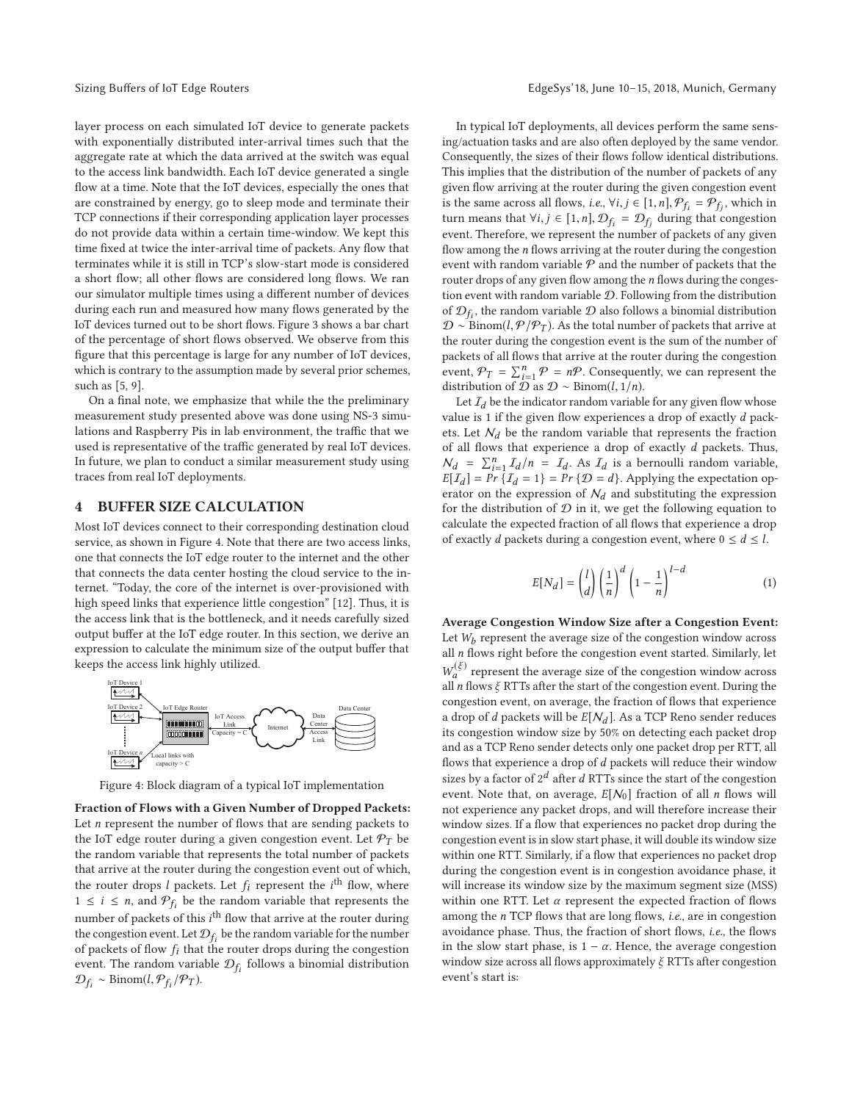layer process on each simulated IoT device to generate packets with exponentially distributed inter-arrival times such that the aggregate rate at which the data arrived at the switch was equal to the access link bandwidth. Each IoT device generated a single flow at a time. Note that the IoT devices, especially the ones that are constrained by energy, go to sleep mode and terminate their TCP connections if their corresponding application layer processes do not provide data within a certain time-window. We kept this time fixed at twice the inter-arrival time of packets. Any flow that terminates while it is still in TCP's slow-start mode is considered a short flow; all other flows are considered long flows. We ran our simulator multiple times using a different number of devices during each run and measured how many flows generated by the IoT devices turned out to be short flows. Figure 3 shows a bar chart of the percentage of short flows observed. We observe from this figure that this percentage is large for any number of IoT devices, which is contrary to the assumption made by several prior schemes, such as [5, 9].

On a final note, we emphasize that while the the preliminary measurement study presented above was done using NS-3 simulations and Raspberry Pis in lab environment, the traffic that we used is representative of the traffic generated by real IoT devices. In future, we plan to conduct a similar measurement study using traces from real IoT deployments.

#### **4 BUFFER SIZE CALCULATION**

Most IoT devices connect to their corresponding destination cloud service, as shown in Figure 4. Note that there are two access links, one that connects the IoT edge router to the internet and the other that connects the data center hosting the cloud service to the internet. "Today, the core of the internet is over-provisioned with high speed links that experience little congestion" [12]. Thus, it is the access link that is the bottleneck, and it needs carefully sized output buffer at the IoT edge router. In this section, we derive an expression to calculate the minimum size of the output buffer that keeps the access link highly utilized.



Figure 4: Block diagram of a typical IoT implementation

**Fraction of Flows with a Given Number of Dropped Packets:** Let *n* represent the number of flows that are sending packets to the IoT edge router during a given congestion event. Let  $\mathcal{P}_T$  be the random variable that represents the total number of packets that arrive at the router during the congestion event out of which, the router drops  $l$  packets. Let  $f_i$  represent the  $i^{\text{th}}$  flow, where  $1 \leq i \leq n$ , and  $P_{f_i}$  be the random variable that represents the number of packets of this *i*<sup>th</sup> flow that arrive at the router during the congestion event. Let  $\mathcal{D}_{f_i}$  be the random variable for the number of packets of flow  $f_i$  that the router drops during the congestion event. The random variable  $\mathcal{D}_{f_i}$  follows a binomial distribution  $\mathcal{D}_{f_i} \sim \text{Binom}(l, \mathcal{P}_{f_i} / \mathcal{P}_T).$ 

In typical IoT deployments, all devices perform the same sensing/actuation tasks and are also often deployed by the same vendor. Consequently, the sizes of their flows follow identical distributions. This implies that the distribution of the number of packets of any given flow arriving at the router during the given congestion event is the same across all flows, *i.e.*,  $\forall i, j \in [1, n], \mathcal{P}_{f_i} = \mathcal{P}_{f_i}$ , which in turn means that  $\forall i, j \in [1, n], \mathcal{D}_{f_i} = \mathcal{D}_{f_i}$  during that congestion event. Therefore, we represent the number of packets of any given flow among the *n* flows arriving at the router during the congestion event with random variable  $P$  and the number of packets that the router drops of any given flow among the *n* flows during the congestion event with random variable D. Following from the distribution of  $\mathcal{D}_{f_i}$ , the random variable  $\mathcal D$  also follows a binomial distribution  $\mathcal{D} \sim \text{Binom}(l, \mathcal{P}/\mathcal{P}_T)$ . As the total number of packets that arrive at the router during the congestion event is the sum of the number of packets of all flows that arrive at the router during the congestion event,  $P_T = \sum_{i=1}^n P = nP$ . Consequently, we can represent the distribution of  $\overline{D}$  as  $\overline{D}$  ∼ Binom(*l*, 1/*n*).

Let  $I_d$  be the indicator random variable for any given flow whose value is 1 if the given flow experiences a drop of exactly *d* packets. Let  $\mathcal{N}_d$  be the random variable that represents the fraction of all flows that experience a drop of exactly *d* packets. Thus,  $N_d = \sum_{i=1}^n I_d/n = I_d$ . As  $I_d$  is a bernoulli random variable,  $E[I_d] = Pr \{I_d = 1\} = Pr \{D = d\}$ . Applying the expectation operator on the expression of  $N_d$  and substituting the expression for the distribution of  $D$  in it, we get the following equation to calculate the expected fraction of all flows that experience a drop of exactly *d* packets during a congestion event, where  $0 \le d \le l$ .

$$
E[N_d] = \binom{l}{d} \left(\frac{1}{n}\right)^d \left(1 - \frac{1}{n}\right)^{l-d} \tag{1}
$$

**Average Congestion Window Size after a Congestion Event:** Let  $W_b$  represent the average size of the congestion window across all *n* flows right before the congestion event started. Similarly, let  $W_a^{(\xi)}$  represent the average size of the congestion window across all *n* flows*ξ* RTTs after the start of the congestion event. During the congestion event, on average, the fraction of flows that experience a drop of  $d$  packets will be  $E[N_d]$ . As a TCP Reno sender reduces its congestion window size by 50% on detecting each packet drop and as a TCP Reno sender detects only one packet drop per RTT, all flows that experience a drop of *d* packets will reduce their window sizes by a factor of  $2^d$  after *d* RTTs since the start of the congestion event. Note that, on average,  $E[N_0]$  fraction of all *n* flows will not experience any packet drops, and will therefore increase their window sizes. If a flow that experiences no packet drop during the congestion event is in slow start phase, it will double its window size within one RTT. Similarly, if a flow that experiences no packet drop during the congestion event is in congestion avoidance phase, it will increase its window size by the maximum segment size (MSS) within one RTT. Let *α* represent the expected fraction of flows among the *n* TCP flows that are long flows, *i.e.*, are in congestion avoidance phase. Thus, the fraction of short flows, *i.e.*, the flows in the slow start phase, is  $1 - \alpha$ . Hence, the average congestion window size across all flows approximately *ξ* RTTs after congestion event's start is: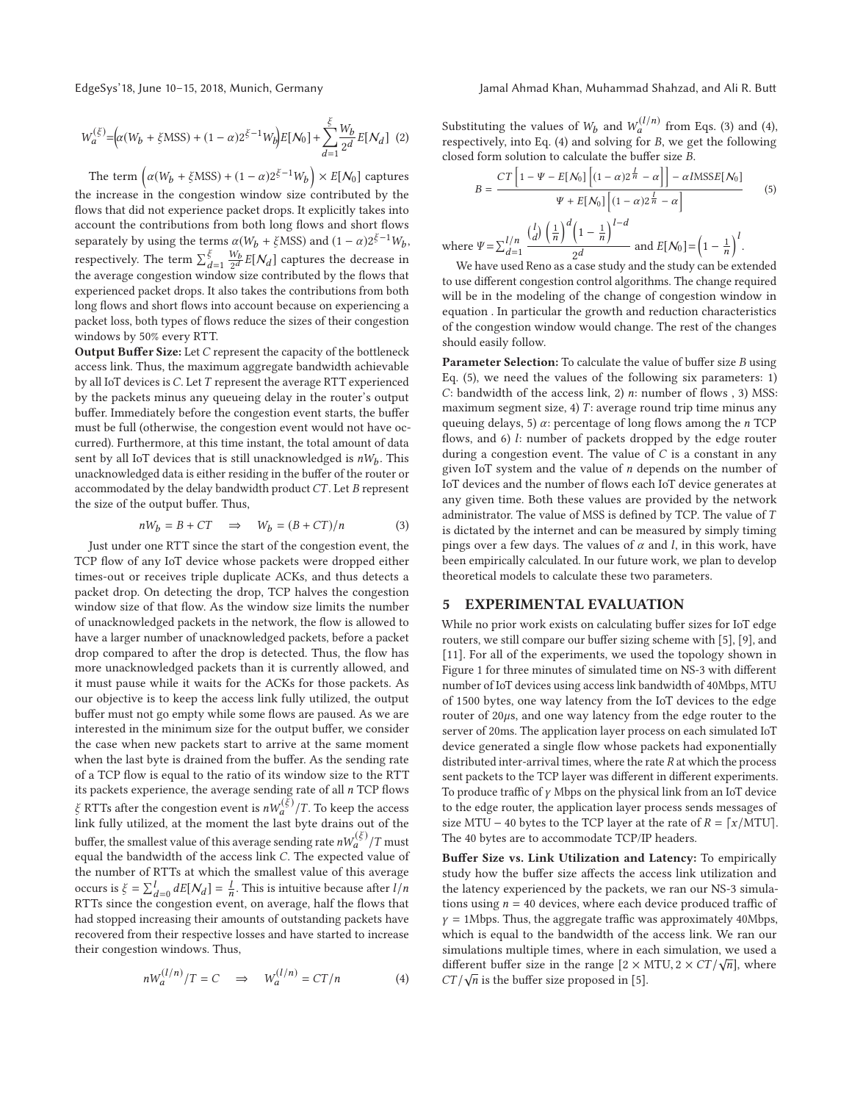EdgeSys'18, June 10–15, 2018, Munich, Germany Jamal Ahmad Khan, Muhammad Shahzad, and Ali R. Butt

$$
W_a^{(\xi)}\!\!=\!\!\Big|\!\alpha(W_b+\xi\text{MSS})+(1-\alpha)2^{\xi-1}W_b\!\Big)E[N_0]\!+\!\sum_{d=1}^{\xi}\!\frac{W_b}{2^d}E[N_d]\;\;(2)
$$

The term  $\left(\alpha(W_b + \xi\text{MSS}) + (1 - \alpha)2^{\xi - 1}W_b\right) \times E[\mathcal{N}_0]$  captures the increase in the congestion window size contributed by the flows that did not experience packet drops. It explicitly takes into account the contributions from both long flows and short flows separately by using the terms  $\alpha(W_b + \xi \text{MSS})$  and  $(1 - \alpha)2^{\xi - 1}W_b$ , respectively. The term  $\sum_{i=1}^{k}$  $d=1$  $\frac{W_b}{2^d} E[N_d]$  captures the decrease in the average congestion window size contributed by the flows that experienced packet drops. It also takes the contributions from both long flows and short flows into account because on experiencing a packet loss, both types of flows reduce the sizes of their congestion windows by 50% every RTT.

**Output Buffer Size:** Let *C* represent the capacity of the bottleneck access link. Thus, the maximum aggregate bandwidth achievable by all IoT devices is*C*. Let*T* represent the average RTT experienced by the packets minus any queueing delay in the router's output buffer. Immediately before the congestion event starts, the buffer must be full (otherwise, the congestion event would not have occurred). Furthermore, at this time instant, the total amount of data sent by all IoT devices that is still unacknowledged is  $nW_b$ . This unacknowledged data is either residing in the buffer of the router or accommodated by the delay bandwidth product*CT* . Let *B* represent the size of the output buffer. Thus,

$$
nW_b = B + CT \quad \Rightarrow \quad W_b = (B + CT)/n \tag{3}
$$

Just under one RTT since the start of the congestion event, the TCP flow of any IoT device whose packets were dropped either times-out or receives triple duplicate ACKs, and thus detects a packet drop. On detecting the drop, TCP halves the congestion window size of that flow. As the window size limits the number of unacknowledged packets in the network, the flow is allowed to have a larger number of unacknowledged packets, before a packet drop compared to after the drop is detected. Thus, the flow has more unacknowledged packets than it is currently allowed, and it must pause while it waits for the ACKs for those packets. As our objective is to keep the access link fully utilized, the output buffer must not go empty while some flows are paused. As we are interested in the minimum size for the output buffer, we consider the case when new packets start to arrive at the same moment when the last byte is drained from the buffer. As the sending rate of a TCP flow is equal to the ratio of its window size to the RTT its packets experience, the average sending rate of all *n* TCP flows *ξ* RTTs after the congestion event is  $nW_a^{(\xi)}/T$ . To keep the access link fully utilized, at the moment the last byte drains out of the buffer, the smallest value of this average sending rate  $nW_a^{(\xi)}/T$  must equal the bandwidth of the access link *C*. The expected value of the number of RTTs at which the smallest value of this average occurs is  $\xi = \sum_{d=0}^{l} dE[N_d] = \frac{l}{n}$ . This is intuitive because after *l/n* RTTs since the congestion event, on average, half the flows that had stopped increasing their amounts of outstanding packets have recovered from their respective losses and have started to increase their congestion windows. Thus,

$$
nW_a^{(l/n)}/T = C \quad \Rightarrow \quad W_a^{(l/n)} = CT/n \tag{4}
$$

Substituting the values of  $W_b$  and  $W_a^{(l/n)}$  from Eqs. (3) and (4), respectively, into Eq. (4) and solving for *B*, we get the following closed form solution to calculate the buffer size *B*.

$$
B = \frac{CT\left[1 - \Psi - E[N_0]\left[(1 - \alpha)2^{\frac{1}{n}} - \alpha\right]\right] - \alpha I \text{MSSE}[N_0]}{\Psi + E[N_0]\left[(1 - \alpha)2^{\frac{1}{n}} - \alpha\right]}
$$
(5)  
where  $\Psi = \sum_{d=1}^{l/n} \frac{\binom{l}{d}\left(\frac{1}{n}\right)^d \left(1 - \frac{1}{n}\right)^{l-d}}{2^d}$  and  $E[N_0] = \left(1 - \frac{1}{n}\right)^l$ .  
We have used Reno as a case study and the study can be extended

to use different congestion control algorithms. The change required will be in the modeling of the change of congestion window in equation . In particular the growth and reduction characteristics of the congestion window would change. The rest of the changes should easily follow.

**Parameter Selection:** To calculate the value of buffer size *B* using Eq. (5), we need the values of the following six parameters: 1) *C*: bandwidth of the access link, 2) *n*: number of flows , 3) MSS: maximum segment size, 4) *T*: average round trip time minus any queuing delays, 5) *α*: percentage of long flows among the *n* TCP flows, and 6) *l*: number of packets dropped by the edge router during a congestion event. The value of *C* is a constant in any given IoT system and the value of *n* depends on the number of IoT devices and the number of flows each IoT device generates at any given time. Both these values are provided by the network administrator. The value of MSS is defined by TCP. The value of *T* is dictated by the internet and can be measured by simply timing pings over a few days. The values of *α* and *l*, in this work, have been empirically calculated. In our future work, we plan to develop theoretical models to calculate these two parameters.

#### **5 EXPERIMENTAL EVALUATION**

While no prior work exists on calculating buffer sizes for IoT edge routers, we still compare our buffer sizing scheme with [5], [9], and [11]. For all of the experiments, we used the topology shown in Figure 1 for three minutes of simulated time on NS-3 with different number of IoT devices using access link bandwidth of 40Mbps, MTU of 1500 bytes, one way latency from the IoT devices to the edge router of 20*μ*s, and one way latency from the edge router to the server of 20ms. The application layer process on each simulated IoT device generated a single flow whose packets had exponentially distributed inter-arrival times, where the rate *R* at which the process sent packets to the TCP layer was different in different experiments. To produce traffic of *γ* Mbps on the physical link from an IoT device to the edge router, the application layer process sends messages of size MTU – 40 bytes to the TCP layer at the rate of  $R = \lceil x / MTU \rceil$ . The 40 bytes are to accommodate TCP/IP headers.

**Buffer Size vs. Link Utilization and Latency:** To empirically study how the buffer size affects the access link utilization and the latency experienced by the packets, we ran our NS-3 simulations using *n* = 40 devices, where each device produced traffic of  $\gamma$  = 1Mbps. Thus, the aggregate traffic was approximately 40Mbps, which is equal to the bandwidth of the access link. We ran our simulations multiple times, where in each simulation, we used a different buffer size in the range  $[2 \times MTU, 2 \times CT/\sqrt{n}]$ , where  $CT/\sqrt{n}$  is the buffer size proposed in [5].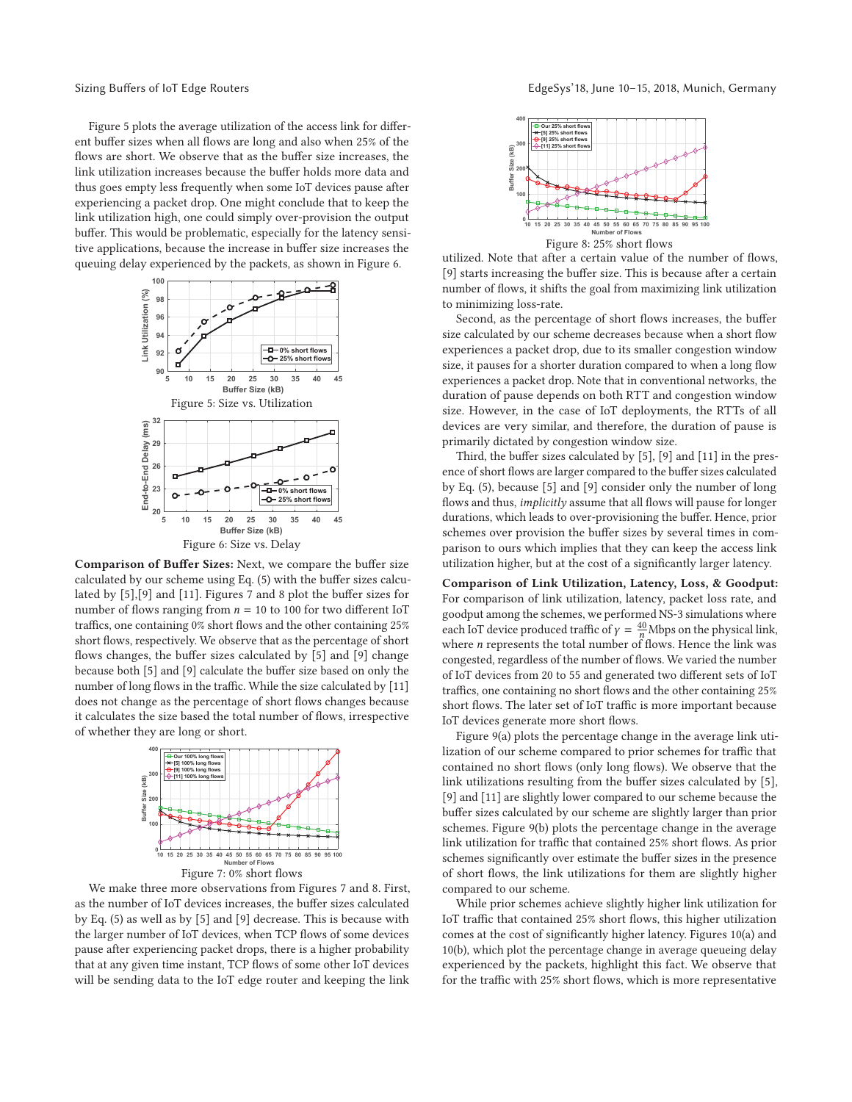Figure 5 plots the average utilization of the access link for different buffer sizes when all flows are long and also when 25% of the flows are short. We observe that as the buffer size increases, the link utilization increases because the buffer holds more data and thus goes empty less frequently when some IoT devices pause after experiencing a packet drop. One might conclude that to keep the link utilization high, one could simply over-provision the output buffer. This would be problematic, especially for the latency sensitive applications, because the increase in buffer size increases the queuing delay experienced by the packets, as shown in Figure 6.



**Comparison of Buffer Sizes:** Next, we compare the buffer size calculated by our scheme using Eq. (5) with the buffer sizes calculated by [5],[9] and [11]. Figures 7 and 8 plot the buffer sizes for number of flows ranging from  $n = 10$  to 100 for two different IoT traffics, one containing 0% short flows and the other containing 25% short flows, respectively. We observe that as the percentage of short flows changes, the buffer sizes calculated by [5] and [9] change because both [5] and [9] calculate the buffer size based on only the number of long flows in the traffic. While the size calculated by [11] does not change as the percentage of short flows changes because it calculates the size based the total number of flows, irrespective of whether they are long or short.



We make three more observations from Figures 7 and 8. First, as the number of IoT devices increases, the buffer sizes calculated by Eq. (5) as well as by [5] and [9] decrease. This is because with the larger number of IoT devices, when TCP flows of some devices pause after experiencing packet drops, there is a higher probability that at any given time instant, TCP flows of some other IoT devices will be sending data to the IoT edge router and keeping the link

Sizing Buffers of IoT Edge Routers EdgeSys'18, June 10–15, 2018, Munich, Germany



utilized. Note that after a certain value of the number of flows, [9] starts increasing the buffer size. This is because after a certain number of flows, it shifts the goal from maximizing link utilization to minimizing loss-rate.

Second, as the percentage of short flows increases, the buffer size calculated by our scheme decreases because when a short flow experiences a packet drop, due to its smaller congestion window size, it pauses for a shorter duration compared to when a long flow experiences a packet drop. Note that in conventional networks, the duration of pause depends on both RTT and congestion window size. However, in the case of IoT deployments, the RTTs of all devices are very similar, and therefore, the duration of pause is primarily dictated by congestion window size.

Third, the buffer sizes calculated by [5], [9] and [11] in the presence of short flows are larger compared to the buffer sizes calculated by Eq. (5), because [5] and [9] consider only the number of long flows and thus, *implicitly* assume that all flows will pause for longer durations, which leads to over-provisioning the buffer. Hence, prior schemes over provision the buffer sizes by several times in comparison to ours which implies that they can keep the access link utilization higher, but at the cost of a significantly larger latency.

**Comparison of Link Utilization, Latency, Loss, & Goodput:** For comparison of link utilization, latency, packet loss rate, and goodput among the schemes, we performed NS-3 simulations where each IoT device produced traffic of  $\gamma = \frac{40}{n}$ Mbps on the physical link, where *n* represents the total number of flows. Hence the link was congested, regardless of the number of flows. We varied the number of IoT devices from 20 to 55 and generated two different sets of IoT traffics, one containing no short flows and the other containing 25% short flows. The later set of IoT traffic is more important because IoT devices generate more short flows.

Figure 9(a) plots the percentage change in the average link utilization of our scheme compared to prior schemes for traffic that contained no short flows (only long flows). We observe that the link utilizations resulting from the buffer sizes calculated by [5], [9] and [11] are slightly lower compared to our scheme because the buffer sizes calculated by our scheme are slightly larger than prior schemes. Figure 9(b) plots the percentage change in the average link utilization for traffic that contained 25% short flows. As prior schemes significantly over estimate the buffer sizes in the presence of short flows, the link utilizations for them are slightly higher compared to our scheme.

While prior schemes achieve slightly higher link utilization for IoT traffic that contained 25% short flows, this higher utilization comes at the cost of significantly higher latency. Figures 10(a) and 10(b), which plot the percentage change in average queueing delay experienced by the packets, highlight this fact. We observe that for the traffic with 25% short flows, which is more representative